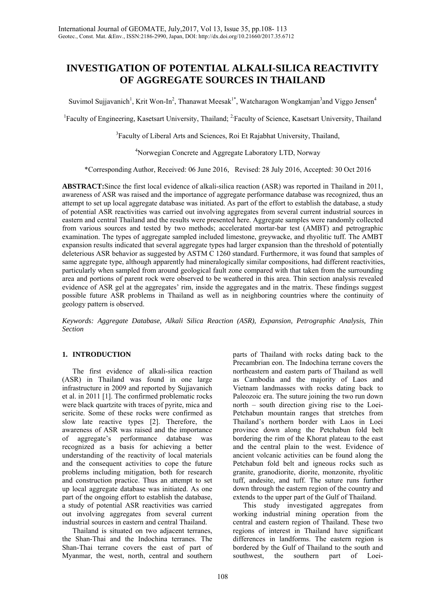# **INVESTIGATION OF POTENTIAL ALKALI-SILICA REACTIVITY OF AGGREGATE SOURCES IN THAILAND**

Suvimol Sujjavanich<sup>1</sup>, Krit Won-In<sup>2</sup>, Thanawat Meesak<sup>1\*</sup>, Watcharagon Wongkamjan<sup>3</sup>and Viggo Jensen<sup>4</sup>

<sup>1</sup>Faculty of Engineering, Kasetsart University, Thailand; <sup>2,</sup>Faculty of Science, Kasetsart University, Thailand

<sup>3</sup> Faculty of Liberal Arts and Sciences, Roi Et Rajabhat University, Thailand,

4 Norwegian Concrete and Aggregate Laboratory LTD, Norway

\*Corresponding Author, Received: 06 June 2016, Revised: 28 July 2016, Accepted: 30 Oct 2016

**ABSTRACT:**Since the first local evidence of alkali-silica reaction (ASR) was reported in Thailand in 2011, awareness of ASR was raised and the importance of aggregate performance database was recognized, thus an attempt to set up local aggregate database was initiated. As part of the effort to establish the database, a study of potential ASR reactivities was carried out involving aggregates from several current industrial sources in eastern and central Thailand and the results were presented here. Aggregate samples were randomly collected from various sources and tested by two methods; accelerated mortar-bar test (AMBT) and petrographic examination. The types of aggregate sampled included limestone, greywacke, and rhyolitic tuff. The AMBT expansion results indicated that several aggregate types had larger expansion than the threshold of potentially deleterious ASR behavior as suggested by ASTM C 1260 standard. Furthermore, it was found that samples of same aggregate type, although apparently had mineralogically similar compositions, had different reactivities, particularly when sampled from around geological fault zone compared with that taken from the surrounding area and portions of parent rock were observed to be weathered in this area. Thin section analysis revealed evidence of ASR gel at the aggregates' rim, inside the aggregates and in the matrix. These findings suggest possible future ASR problems in Thailand as well as in neighboring countries where the continuity of geology pattern is observed.

*Keywords: Aggregate Database, Alkali Silica Reaction (ASR), Expansion, Petrographic Analysis, Thin Section* 

# **1. INTRODUCTION**

The first evidence of alkali-silica reaction (ASR) in Thailand was found in one large infrastructure in 2009 and reported by Sujjavanich et al. in 2011 [1]. The confirmed problematic rocks were black quartzite with traces of pyrite, mica and sericite. Some of these rocks were confirmed as slow late reactive types [2]. Therefore, the awareness of ASR was raised and the importance of aggregate's performance database was recognized as a basis for achieving a better understanding of the reactivity of local materials and the consequent activities to cope the future problems including mitigation, both for research and construction practice. Thus an attempt to set up local aggregate database was initiated. As one part of the ongoing effort to establish the database, a study of potential ASR reactivities was carried out involving aggregates from several current industrial sources in eastern and central Thailand.

Thailand is situated on two adjacent terranes, the Shan-Thai and the Indochina terranes. The Shan-Thai terrane covers the east of part of Myanmar, the west, north, central and southern

parts of Thailand with rocks dating back to the Precambrian eon. The Indochina terrane covers the northeastern and eastern parts of Thailand as well as Cambodia and the majority of Laos and Vietnam landmasses with rocks dating back to Paleozoic era. The suture joining the two run down north – south direction giving rise to the Loei-Petchabun mountain ranges that stretches from Thailand's northern border with Laos in Loei province down along the Petchabun fold belt bordering the rim of the Khorat plateau to the east and the central plain to the west. Evidence of ancient volcanic activities can be found along the Petchabun fold belt and igneous rocks such as granite, granodiorite, diorite, monzonite, rhyolitic tuff, andesite, and tuff. The suture runs further down through the eastern region of the country and extends to the upper part of the Gulf of Thailand.

This study investigated aggregates from working industrial mining operation from the central and eastern region of Thailand. These two regions of interest in Thailand have significant differences in landforms. The eastern region is bordered by the Gulf of Thailand to the south and southwest, the southern part of Loei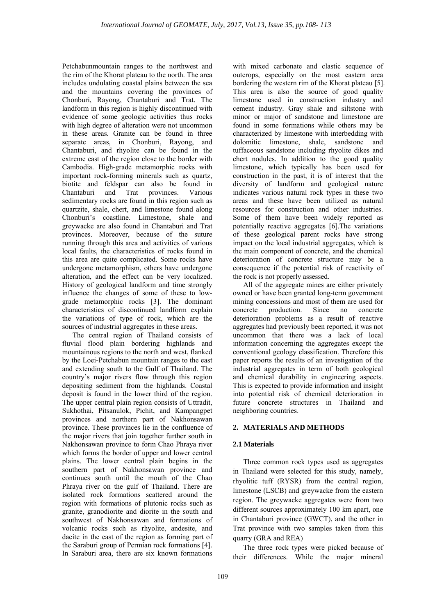Petchabunmountain ranges to the northwest and the rim of the Khorat plateau to the north. The area includes undulating coastal plains between the sea and the mountains covering the provinces of Chonburi, Rayong, Chantaburi and Trat. The landform in this region is highly discontinued with evidence of some geologic activities thus rocks with high degree of alteration were not uncommon in these areas. Granite can be found in three separate areas, in Chonburi, Rayong, and Chantaburi, and rhyolite can be found in the extreme east of the region close to the border with Cambodia. High-grade metamorphic rocks with important rock-forming minerals such as quartz, biotite and feldspar can also be found in Chantaburi and Trat provinces. Various sedimentary rocks are found in this region such as quartzite, shale, chert, and limestone found along Chonburi's coastline. Limestone, shale and greywacke are also found in Chantaburi and Trat provinces. Moreover, because of the suture running through this area and activities of various local faults, the characteristics of rocks found in this area are quite complicated. Some rocks have undergone metamorphism, others have undergone alteration, and the effect can be very localized. History of geological landform and time strongly influence the changes of some of these to lowgrade metamorphic rocks [3]. The dominant characteristics of discontinued landform explain the variations of type of rock, which are the sources of industrial aggregates in these areas.

The central region of Thailand consists of fluvial flood plain bordering highlands and mountainous regions to the north and west, flanked by the Loei-Petchabun mountain ranges to the east and extending south to the Gulf of Thailand. The country's major rivers flow through this region depositing sediment from the highlands. Coastal deposit is found in the lower third of the region. The upper central plain region consists of Uttradit, Sukhothai, Pitsanulok, Pichit, and Kampangpet provinces and northern part of Nakhonsawan province. These provinces lie in the confluence of the major rivers that join together further south in Nakhonsawan province to form Chao Phraya river which forms the border of upper and lower central plains. The lower central plain begins in the southern part of Nakhonsawan province and continues south until the mouth of the Chao Phraya river on the gulf of Thailand. There are isolated rock formations scattered around the region with formations of plutonic rocks such as granite, granodiorite and diorite in the south and southwest of Nakhonsawan and formations of volcanic rocks such as rhyolite, andesite, and dacite in the east of the region as forming part of the Saraburi group of Permian rock formations [4]. In Saraburi area, there are six known formations

with mixed carbonate and clastic sequence of outcrops, especially on the most eastern area bordering the western rim of the Khorat plateau [5]. This area is also the source of good quality limestone used in construction industry and cement industry. Gray shale and siltstone with minor or major of sandstone and limestone are found in some formations while others may be characterized by limestone with interbedding with dolomitic limestone, shale, sandstone and tuffaceous sandstone including rhyolite dikes and chert nodules. In addition to the good quality limestone, which typically has been used for construction in the past, it is of interest that the diversity of landform and geological nature indicates various natural rock types in these two areas and these have been utilized as natural resources for construction and other industries. Some of them have been widely reported as potentially reactive aggregates [6].The variations of these geological parent rocks have strong impact on the local industrial aggregates, which is the main component of concrete, and the chemical deterioration of concrete structure may be a consequence if the potential risk of reactivity of the rock is not properly assessed.

All of the aggregate mines are either privately owned or have been granted long-term government mining concessions and most of them are used for concrete production. Since no concrete deterioration problems as a result of reactive aggregates had previously been reported, it was not uncommon that there was a lack of local information concerning the aggregates except the conventional geology classification. Therefore this paper reports the results of an investigation of the industrial aggregates in term of both geological and chemical durability in engineering aspects. This is expected to provide information and insight into potential risk of chemical deterioration in future concrete structures in Thailand and neighboring countries.

# **2. MATERIALS AND METHODS**

# **2.1 Materials**

Three common rock types used as aggregates in Thailand were selected for this study, namely, rhyolitic tuff (RYSR) from the central region, limestone (LSCB) and greywacke from the eastern region. The greywacke aggregates were from two different sources approximately 100 km apart, one in Chantaburi province (GWCT), and the other in Trat province with two samples taken from this quarry (GRA and REA)

The three rock types were picked because of their differences. While the major mineral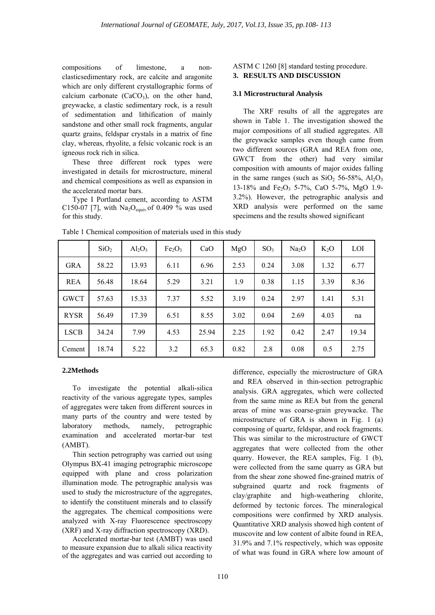compositions of limestone, a nonclasticsedimentary rock, are calcite and aragonite which are only different crystallographic forms of calcium carbonate  $(CaCO<sub>3</sub>)$ , on the other hand, greywacke, a clastic sedimentary rock, is a result of sedimentation and lithification of mainly sandstone and other small rock fragments, angular quartz grains, feldspar crystals in a matrix of fine clay, whereas, rhyolite, a felsic volcanic rock is an igneous rock rich in silica.

These three different rock types were investigated in details for microstructure, mineral and chemical compositions as well as expansion in the accelerated mortar bars.

Type I Portland cement, according to ASTM C150-07 [7], with  $\text{Na}_2\text{O}_{\text{equiv}}$  of 0.409 % was used for this study.

### ASTM C 1260 [8] standard testing procedure. **3. RESULTS AND DISCUSSION**

#### **3.1 Microstructural Analysis**

The XRF results of all the aggregates are shown in Table 1. The investigation showed the major compositions of all studied aggregates. All the greywacke samples even though came from two different sources (GRA and REA from one, GWCT from the other) had very similar composition with amounts of major oxides falling in the same ranges (such as  $SiO<sub>2</sub> 56-58\%$ , Al<sub>2</sub>O<sub>3</sub> 13-18% and Fe<sub>2</sub>O<sub>3</sub> 5-7%, CaO 5-7%, MgO 1.9-3.2%). However, the petrographic analysis and XRD analysis were performed on the same specimens and the results showed significant

|             | SiO <sub>2</sub> | $Al_2O_3$ | Fe <sub>2</sub> O <sub>3</sub> | CaO   | MgO  | SO <sub>3</sub> | Na <sub>2</sub> O | $K_2O$ | LOI   |
|-------------|------------------|-----------|--------------------------------|-------|------|-----------------|-------------------|--------|-------|
| <b>GRA</b>  | 58.22            | 13.93     | 6.11                           | 6.96  | 2.53 | 0.24            | 3.08              | 1.32   | 6.77  |
| <b>REA</b>  | 56.48            | 18.64     | 5.29                           | 3.21  | 1.9  | 0.38            | 1.15              | 3.39   | 8.36  |
| <b>GWCT</b> | 57.63            | 15.33     | 7.37                           | 5.52  | 3.19 | 0.24            | 2.97              | 1.41   | 5.31  |
| <b>RYSR</b> | 56.49            | 17.39     | 6.51                           | 8.55  | 3.02 | 0.04            | 2.69              | 4.03   | na    |
| <b>LSCB</b> | 34.24            | 7.99      | 4.53                           | 25.94 | 2.25 | 1.92            | 0.42              | 2.47   | 19.34 |
| Cement      | 18.74            | 5.22      | 3.2                            | 65.3  | 0.82 | 2.8             | 0.08              | 0.5    | 2.75  |

Table 1 Chemical composition of materials used in this study

#### **2.2Methods**

To investigate the potential alkali-silica reactivity of the various aggregate types, samples of aggregates were taken from different sources in many parts of the country and were tested by laboratory methods, namely, petrographic examination and accelerated mortar-bar test (AMBT).

Thin section petrography was carried out using Olympus BX-41 imaging petrographic microscope equipped with plane and cross polarization illumination mode. The petrographic analysis was used to study the microstructure of the aggregates, to identify the constituent minerals and to classify the aggregates. The chemical compositions were analyzed with X-ray Fluorescence spectroscopy (XRF) and X-ray diffraction spectroscopy (XRD).

Accelerated mortar-bar test (AMBT) was used to measure expansion due to alkali silica reactivity of the aggregates and was carried out according to difference, especially the microstructure of GRA and REA observed in thin-section petrographic analysis. GRA aggregates, which were collected from the same mine as REA but from the general areas of mine was coarse-grain greywacke. The microstructure of GRA is shown in Fig. 1 (a) composing of quartz, feldspar, and rock fragments. This was similar to the microstructure of GWCT aggregates that were collected from the other quarry. However, the REA samples, Fig. 1 (b), were collected from the same quarry as GRA but from the shear zone showed fine-grained matrix of subgrained quartz and rock fragments of clay/graphite and high-weathering chlorite, deformed by tectonic forces. The mineralogical compositions were confirmed by XRD analysis. Quantitative XRD analysis showed high content of muscovite and low content of albite found in REA, 31.9% and 7.1% respectively, which was opposite of what was found in GRA where low amount of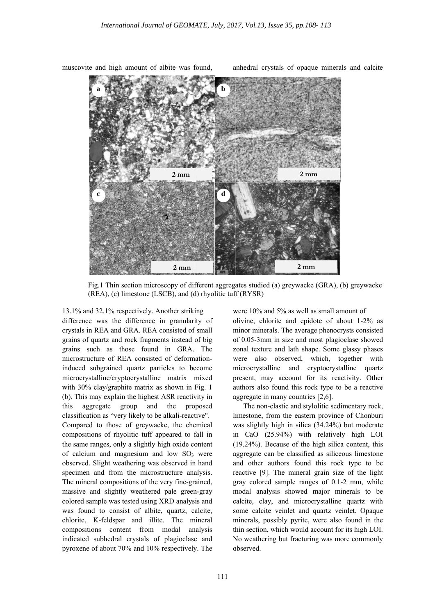

muscovite and high amount of albite was found,

anhedral crystals of opaque minerals and calcite

Fig.1 Thin section microscopy of different aggregates studied (a) greywacke (GRA), (b) greywacke (REA), (c) limestone (LSCB), and (d) rhyolitic tuff (RYSR)

13.1% and 32.1% respectively. Another striking difference was the difference in granularity of crystals in REA and GRA. REA consisted of small grains of quartz and rock fragments instead of big grains such as those found in GRA. The microstructure of REA consisted of deformationinduced subgrained quartz particles to become microcrystalline/cryptocrystalline matrix mixed with 30% clay/graphite matrix as shown in Fig. 1 (b). This may explain the highest ASR reactivity in this aggregate group and the proposed classification as "very likely to be alkali-reactive". Compared to those of greywacke, the chemical compositions of rhyolitic tuff appeared to fall in the same ranges, only a slightly high oxide content of calcium and magnesium and low  $SO_3$  were observed. Slight weathering was observed in hand specimen and from the microstructure analysis. The mineral compositions of the very fine-grained, massive and slightly weathered pale green-gray colored sample was tested using XRD analysis and was found to consist of albite, quartz, calcite, chlorite, K-feldspar and illite. The mineral compositions content from modal analysis indicated subhedral crystals of plagioclase and pyroxene of about 70% and 10% respectively. The

were 10% and 5% as well as small amount of olivine, chlorite and epidote of about 1-2% as minor minerals. The average phenocrysts consisted of 0.05-3mm in size and most plagioclase showed zonal texture and lath shape. Some glassy phases were also observed, which, together with microcrystalline and cryptocrystalline quartz present, may account for its reactivity. Other authors also found this rock type to be a reactive aggregate in many countries  $[2,6]$ .

The non-clastic and stylolitic sedimentary rock, limestone, from the eastern province of Chonburi was slightly high in silica (34.24%) but moderate in CaO (25.94%) with relatively high LOI (19.24%). Because of the high silica content, this aggregate can be classified as siliceous limestone and other authors found this rock type to be reactive [9]. The mineral grain size of the light gray colored sample ranges of 0.1-2 mm, while modal analysis showed major minerals to be calcite, clay, and microcrystalline quartz with some calcite veinlet and quartz veinlet. Opaque minerals, possibly pyrite, were also found in the thin section, which would account for its high LOI. No weathering but fracturing was more commonly observed.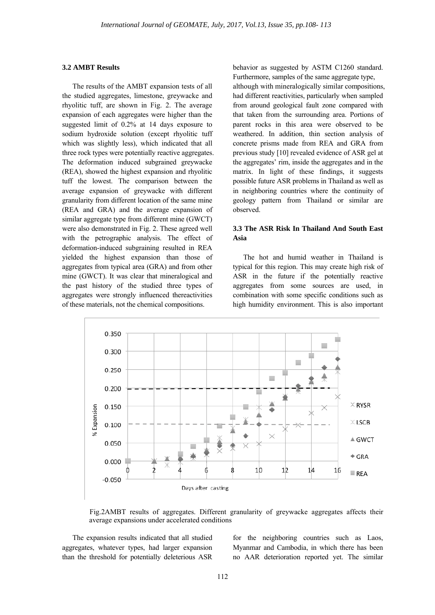### **3.2 AMBT Results**

The results of the AMBT expansion tests of all the studied aggregates, limestone, greywacke and rhyolitic tuff, are shown in Fig. 2. The average expansion of each aggregates were higher than the suggested limit of 0.2% at 14 days exposure to sodium hydroxide solution (except rhyolitic tuff which was slightly less), which indicated that all three rock types were potentially reactive aggregates. The deformation induced subgrained greywacke (REA), showed the highest expansion and rhyolitic tuff the lowest. The comparison between the average expansion of greywacke with different granularity from different location of the same mine (REA and GRA) and the average expansion of similar aggregate type from different mine (GWCT) were also demonstrated in Fig. 2. These agreed well with the petrographic analysis. The effect of deformation-induced subgraining resulted in REA yielded the highest expansion than those of aggregates from typical area (GRA) and from other mine (GWCT). It was clear that mineralogical and the past history of the studied three types of aggregates were strongly influenced thereactivities of these materials, not the chemical compositions.

behavior as suggested by ASTM C1260 standard. Furthermore, samples of the same aggregate type,

although with mineralogically similar compositions, had different reactivities, particularly when sampled from around geological fault zone compared with that taken from the surrounding area. Portions of parent rocks in this area were observed to be weathered. In addition, thin section analysis of concrete prisms made from REA and GRA from previous study [10] revealed evidence of ASR gel at the aggregates' rim, inside the aggregates and in the matrix. In light of these findings, it suggests possible future ASR problems in Thailand as well as in neighboring countries where the continuity of geology pattern from Thailand or similar are observed.

## **3.3 The ASR Risk In Thailand And South East Asia**

The hot and humid weather in Thailand is typical for this region. This may create high risk of ASR in the future if the potentially reactive aggregates from some sources are used, in combination with some specific conditions such as high humidity environment. This is also important



Fig.2AMBT results of aggregates. Different granularity of greywacke aggregates affects their average expansions under accelerated conditions

The expansion results indicated that all studied aggregates, whatever types, had larger expansion than the threshold for potentially deleterious ASR

for the neighboring countries such as Laos, Myanmar and Cambodia, in which there has been no AAR deterioration reported yet. The similar